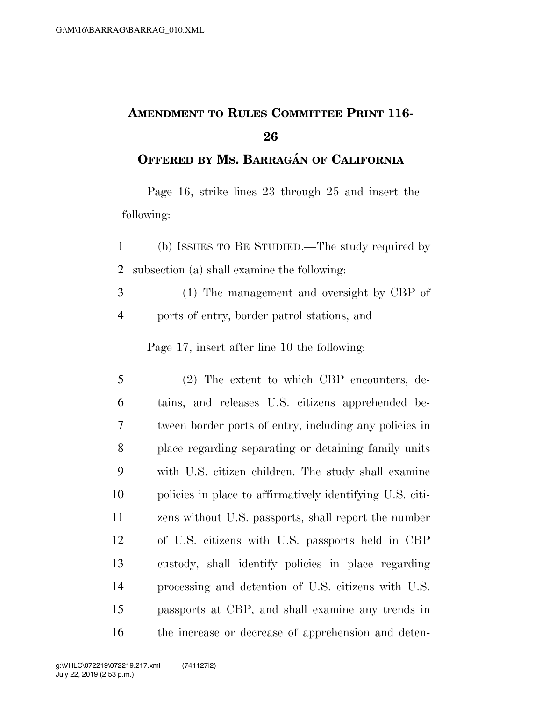## **AMENDMENT TO RULES COMMITTEE PRINT 116-**

## **OFFERED BY MS. BARRAGA´ N OF CALIFORNIA**

Page 16, strike lines 23 through 25 and insert the following:

- (b) ISSUES TO BE STUDIED.—The study required by subsection (a) shall examine the following:
- (1) The management and oversight by CBP of ports of entry, border patrol stations, and

Page 17, insert after line 10 the following:

 (2) The extent to which CBP encounters, de- tains, and releases U.S. citizens apprehended be- tween border ports of entry, including any policies in place regarding separating or detaining family units with U.S. citizen children. The study shall examine policies in place to affirmatively identifying U.S. citi- zens without U.S. passports, shall report the number of U.S. citizens with U.S. passports held in CBP custody, shall identify policies in place regarding processing and detention of U.S. citizens with U.S. passports at CBP, and shall examine any trends in the increase or decrease of apprehension and deten-